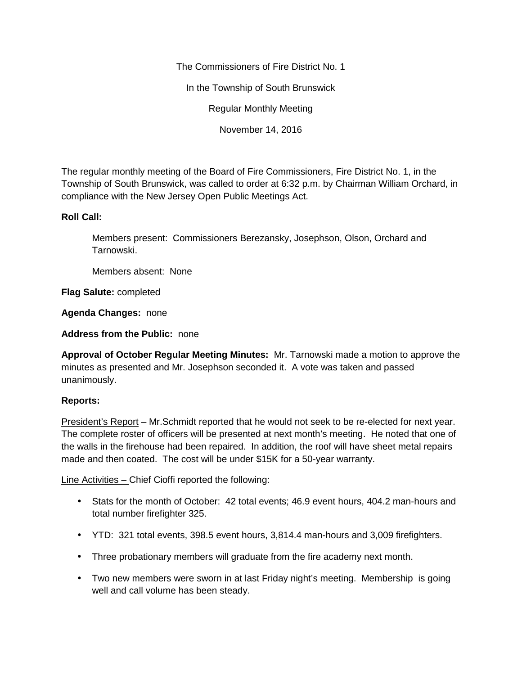The Commissioners of Fire District No. 1

In the Township of South Brunswick

Regular Monthly Meeting

November 14, 2016

The regular monthly meeting of the Board of Fire Commissioners, Fire District No. 1, in the Township of South Brunswick, was called to order at 6:32 p.m. by Chairman William Orchard, in compliance with the New Jersey Open Public Meetings Act.

# **Roll Call:**

Members present: Commissioners Berezansky, Josephson, Olson, Orchard and Tarnowski.

Members absent: None

**Flag Salute:** completed

**Agenda Changes:** none

**Address from the Public:** none

**Approval of October Regular Meeting Minutes:** Mr. Tarnowski made a motion to approve the minutes as presented and Mr. Josephson seconded it. A vote was taken and passed unanimously.

## **Reports:**

President's Report – Mr. Schmidt reported that he would not seek to be re-elected for next year. The complete roster of officers will be presented at next month's meeting. He noted that one of the walls in the firehouse had been repaired. In addition, the roof will have sheet metal repairs made and then coated. The cost will be under \$15K for a 50-year warranty.

Line Activities – Chief Cioffi reported the following:

- Stats for the month of October: 42 total events; 46.9 event hours, 404.2 man-hours and total number firefighter 325.
- YTD: 321 total events, 398.5 event hours, 3,814.4 man-hours and 3,009 firefighters.
- Three probationary members will graduate from the fire academy next month.
- Two new members were sworn in at last Friday night's meeting. Membership is going well and call volume has been steady.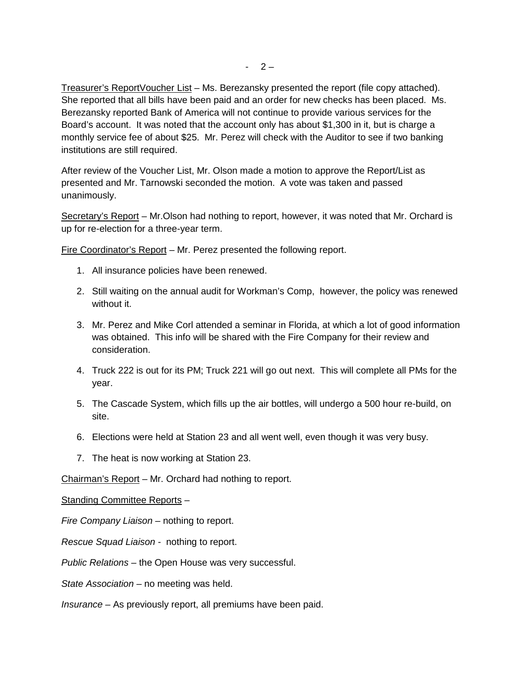Treasurer's ReportVoucher List – Ms. Berezansky presented the report (file copy attached). She reported that all bills have been paid and an order for new checks has been placed. Ms. Berezansky reported Bank of America will not continue to provide various services for the Board's account. It was noted that the account only has about \$1,300 in it, but is charge a monthly service fee of about \$25. Mr. Perez will check with the Auditor to see if two banking institutions are still required.

After review of the Voucher List, Mr. Olson made a motion to approve the Report/List as presented and Mr. Tarnowski seconded the motion. A vote was taken and passed unanimously.

Secretary's Report – Mr.Olson had nothing to report, however, it was noted that Mr. Orchard is up for re-election for a three-year term.

Fire Coordinator's Report – Mr. Perez presented the following report.

- 1. All insurance policies have been renewed.
- 2. Still waiting on the annual audit for Workman's Comp, however, the policy was renewed without it.
- 3. Mr. Perez and Mike Corl attended a seminar in Florida, at which a lot of good information was obtained. This info will be shared with the Fire Company for their review and consideration.
- 4. Truck 222 is out for its PM; Truck 221 will go out next. This will complete all PMs for the year.
- 5. The Cascade System, which fills up the air bottles, will undergo a 500 hour re-build, on site.
- 6. Elections were held at Station 23 and all went well, even though it was very busy.
- 7. The heat is now working at Station 23.

Chairman's Report – Mr. Orchard had nothing to report.

Standing Committee Reports –

*Fire Company Liaison –* nothing to report.

*Rescue Squad Liaison -* nothing to report.

*Public Relations –* the Open House was very successful.

*State Association –* no meeting was held.

*Insurance –* As previously report, all premiums have been paid.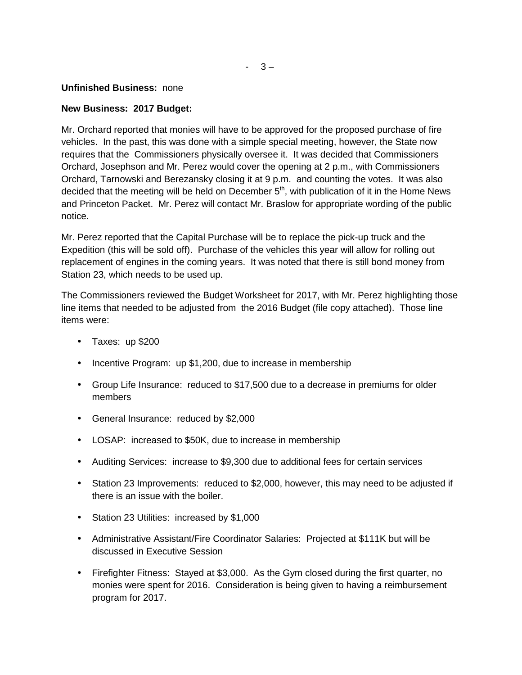### **Unfinished Business:** none

## **New Business: 2017 Budget:**

Mr. Orchard reported that monies will have to be approved for the proposed purchase of fire vehicles. In the past, this was done with a simple special meeting, however, the State now requires that the Commissioners physically oversee it. It was decided that Commissioners Orchard, Josephson and Mr. Perez would cover the opening at 2 p.m., with Commissioners Orchard, Tarnowski and Berezansky closing it at 9 p.m. and counting the votes. It was also decided that the meeting will be held on December  $5<sup>th</sup>$ , with publication of it in the Home News and Princeton Packet. Mr. Perez will contact Mr. Braslow for appropriate wording of the public notice.

Mr. Perez reported that the Capital Purchase will be to replace the pick-up truck and the Expedition (this will be sold off). Purchase of the vehicles this year will allow for rolling out replacement of engines in the coming years. It was noted that there is still bond money from Station 23, which needs to be used up.

The Commissioners reviewed the Budget Worksheet for 2017, with Mr. Perez highlighting those line items that needed to be adjusted from the 2016 Budget (file copy attached). Those line items were:

- Taxes: up \$200
- Incentive Program: up \$1,200, due to increase in membership
- Group Life Insurance: reduced to \$17,500 due to a decrease in premiums for older members
- General Insurance: reduced by \$2,000
- LOSAP: increased to \$50K, due to increase in membership
- Auditing Services: increase to \$9,300 due to additional fees for certain services
- Station 23 Improvements: reduced to \$2,000, however, this may need to be adjusted if there is an issue with the boiler.
- Station 23 Utilities: increased by \$1,000
- Administrative Assistant/Fire Coordinator Salaries: Projected at \$111K but will be discussed in Executive Session
- Firefighter Fitness: Stayed at \$3,000. As the Gym closed during the first quarter, no monies were spent for 2016. Consideration is being given to having a reimbursement program for 2017.